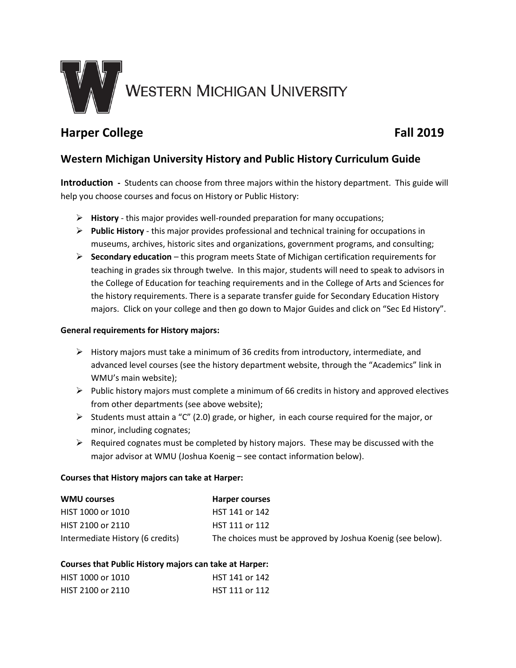

# **Harper College Fall 2019**

## **Western Michigan University History and Public History Curriculum Guide**

**Introduction -** Students can choose from three majors within the history department. This guide will help you choose courses and focus on History or Public History:

- **History** this major provides well-rounded preparation for many occupations;
- **Public History** this major provides professional and technical training for occupations in museums, archives, historic sites and organizations, government programs, and consulting;
- **Secondary education** this program meets State of Michigan certification requirements for teaching in grades six through twelve. In this major, students will need to speak to advisors in the College of Education for teaching requirements and in the College of Arts and Sciences for the history requirements. There is a separate transfer guide fo[r Secondary Education History](http://www.wmich.edu/admissions/transfer/credit/)  [majors.](http://www.wmich.edu/admissions/transfer/credit/) Click on your college and then go down to Major Guides and click on "Sec Ed History".

#### **General requirements for History majors:**

- $\triangleright$  History majors must take a minimum of 36 credits from introductory, intermediate, and advanced level courses (see the history department website, through the "Academics" link in WMU's main website);
- $\triangleright$  Public history majors must complete a minimum of 66 credits in history and approved electives from other departments (see above website);
- Students must attain a "C" (2.0) grade, or higher, in each course required for the major, or minor, including cognates;
- $\triangleright$  Required cognates must be completed by history majors. These may be discussed with the major advisor at WMU (Joshua Koenig – see contact information below).

#### **Courses that History majors can take at Harper:**

| <b>WMU courses</b>               | Harper courses                                             |
|----------------------------------|------------------------------------------------------------|
| HIST 1000 or 1010                | HST 141 or 142                                             |
| HIST 2100 or 2110                | HST 111 or 112                                             |
| Intermediate History (6 credits) | The choices must be approved by Joshua Koenig (see below). |

#### **Courses that Public History majors can take at Harper:**

| HIST 1000 or 1010 | HST 141 or 142 |
|-------------------|----------------|
| HIST 2100 or 2110 | HST 111 or 112 |